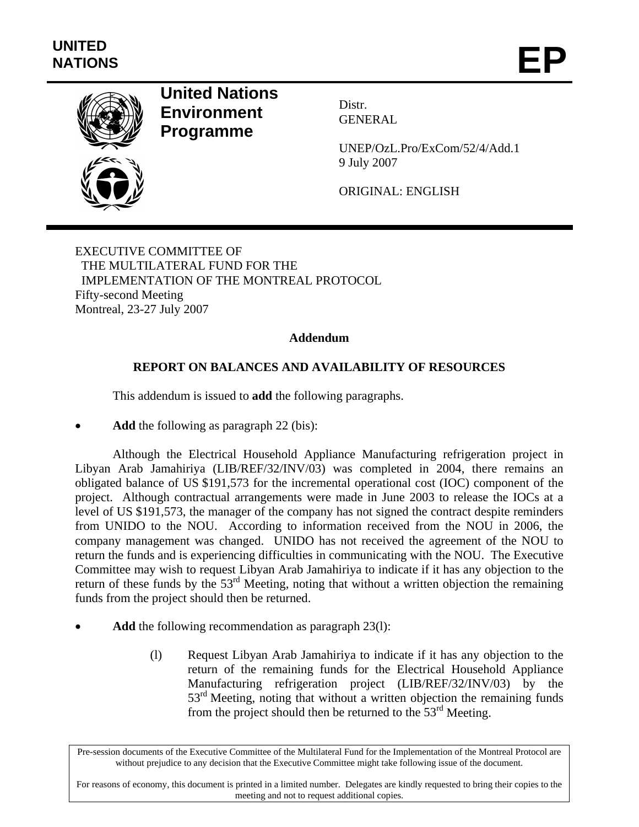

## **United Nations Environment Programme**

Distr. GENERAL

UNEP/OzL.Pro/ExCom/52/4/Add.1 9 July 2007

ORIGINAL: ENGLISH

EXECUTIVE COMMITTEE OF THE MULTILATERAL FUND FOR THE IMPLEMENTATION OF THE MONTREAL PROTOCOL Fifty-second Meeting Montreal, 23-27 July 2007

## **Addendum**

## **REPORT ON BALANCES AND AVAILABILITY OF RESOURCES**

This addendum is issued to **add** the following paragraphs.

Add the following as paragraph 22 (bis):

Although the Electrical Household Appliance Manufacturing refrigeration project in Libyan Arab Jamahiriya (LIB/REF/32/INV/03) was completed in 2004, there remains an obligated balance of US \$191,573 for the incremental operational cost (IOC) component of the project. Although contractual arrangements were made in June 2003 to release the IOCs at a level of US \$191,573, the manager of the company has not signed the contract despite reminders from UNIDO to the NOU. According to information received from the NOU in 2006, the company management was changed. UNIDO has not received the agreement of the NOU to return the funds and is experiencing difficulties in communicating with the NOU. The Executive Committee may wish to request Libyan Arab Jamahiriya to indicate if it has any objection to the return of these funds by the 53<sup>rd</sup> Meeting, noting that without a written objection the remaining funds from the project should then be returned.

- Add the following recommendation as paragraph 23(1):
	- (l) Request Libyan Arab Jamahiriya to indicate if it has any objection to the return of the remaining funds for the Electrical Household Appliance Manufacturing refrigeration project (LIB/REF/32/INV/03) by the 53<sup>rd</sup> Meeting, noting that without a written objection the remaining funds from the project should then be returned to the  $53<sup>rd</sup>$  Meeting.

Pre-session documents of the Executive Committee of the Multilateral Fund for the Implementation of the Montreal Protocol are without prejudice to any decision that the Executive Committee might take following issue of the document.

For reasons of economy, this document is printed in a limited number. Delegates are kindly requested to bring their copies to the meeting and not to request additional copies.